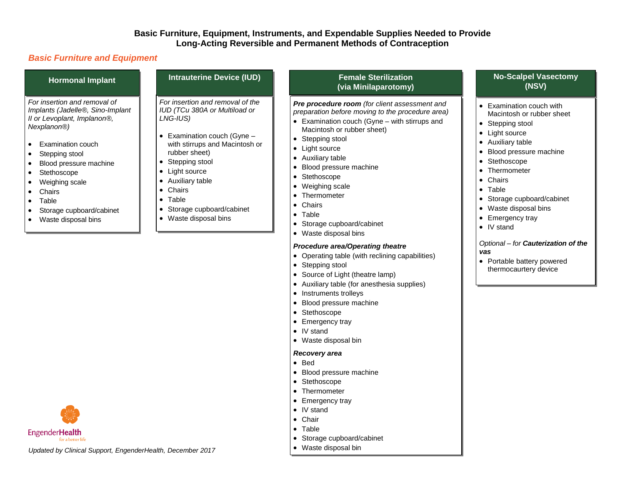#### **Basic Furniture, Equipment, Instruments, and Expendable Supplies Needed to Provide Long-Acting Reversible and Permanent Methods of Contraception**

#### *Basic Furniture and Equipment*

| <b>Hormonal Implant</b>                                                                                                                                                          | <b>Intrauterine Device (IUD)</b>                                                                                                                                                                                                                                                                             | <b>Female Sterilization</b><br>(via Minilaparotomy)                                                                                                                                                                                                                                                                                                                                                       |
|----------------------------------------------------------------------------------------------------------------------------------------------------------------------------------|--------------------------------------------------------------------------------------------------------------------------------------------------------------------------------------------------------------------------------------------------------------------------------------------------------------|-----------------------------------------------------------------------------------------------------------------------------------------------------------------------------------------------------------------------------------------------------------------------------------------------------------------------------------------------------------------------------------------------------------|
| For insertion and removal of<br>Implants (Jadelle®, Sino-Implant<br>Il or Levoplant, Implanon®,<br>Nexplanon <sup>®</sup> )                                                      | For insertion and removal of the<br>IUD (TCu 380A or Multiload or<br>LNG-IUS)<br>Examination couch (Gyne -<br>with stirrups and Macintosh or<br>rubber sheet)<br>Stepping stool<br>Light source<br>٠<br>Auxiliary table<br>٠<br>Chairs<br>٠<br>Table<br>٠<br>Storage cupboard/cabinet<br>Waste disposal bina | <b>Pre procedure room</b> (for client assessment and<br>preparation before moving to the procedure area)<br>• Examination couch (Gyne $-$ with stirrups and<br>Macintosh or rubber sheet)<br>• Stepping stool<br>• Light source<br>• Auxiliary table<br>Blood pressure machine<br>$\bullet$<br>Stethoscope<br>$\bullet$<br>• Weighing scale<br>Thermometer<br>$\bullet$<br>Chairs<br>٠<br>$\bullet$ Table |
| • Examination couch<br>• Stepping stool<br>• Blood pressure machine<br>• Stethoscope<br>• Weighing scale<br>Chairs<br>$\bullet$<br>$\bullet$ Table<br>• Storage cupboard/cabinet |                                                                                                                                                                                                                                                                                                              |                                                                                                                                                                                                                                                                                                                                                                                                           |
|                                                                                                                                                                                  |                                                                                                                                                                                                                                                                                                              |                                                                                                                                                                                                                                                                                                                                                                                                           |

- Storage cupboard/cabinet
- Waste disposal bins

#### *Procedure area/Operating theatre*

Operating table (with reclining capabilities)

- Stepping stool
- Source of Light (theatre lamp)
- Auxiliary table (for anesthesia supplies)
- Instruments trolleys
- Blood pressure machine
- Stethoscope
- Emergency tray
- IV stand
- Waste disposal bin

#### *Recovery area*

- Bed
- Blood pressure machine
- Stethoscope
- Thermometer
- Emergency tray
- IV stand
- Chair
- Table
- Storage cupboard/cabinet
- Waste disposal bin

#### **No-Scalpel Vasectomy (NSV)**

- Examination couch with Macintosh or rubber sheet
- Stepping stool
- Light source
- Auxiliary table
- Blood pressure machine
- Stethoscope
- Thermometer
- Chairs
- Table
- Storage cupboard/cabinet
- Waste disposal bins
- Emergency tray
- IV stand

*Optional – for Cauterization of the vas*

• Portable battery powered thermocaurtery device



*Updated by Clinical Support, EngenderHealth, December 2017*

# Waste disposal bins

Waste disposal bins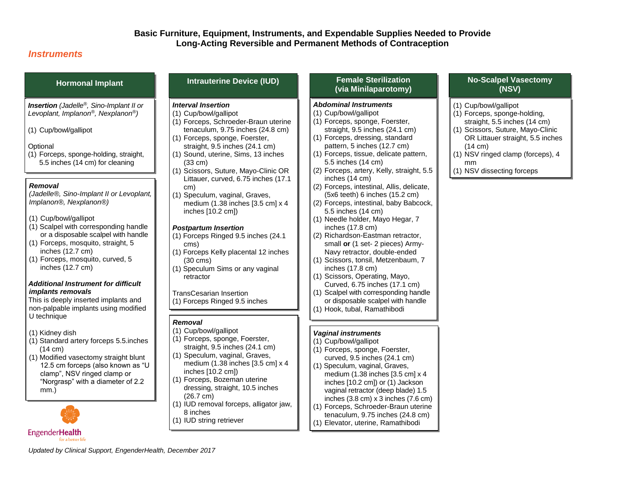#### **Basic Furniture, Equipment, Instruments, and Expendable Supplies Needed to Provide Long-Acting Reversible and Permanent Methods of Contraception**

#### *Instruments*

*Insertion (Jadelle®, Sino-Implant II or Levoplant, Implanon®, Nexplanon®)*

(1) Cup/bowl/gallipot

#### **Optional**

(1) Forceps, sponge-holding, straight, 5.5 inches (14 cm) for cleaning

#### *Removal*

*(Jadelle®, Sino-Implant II or Levoplant, Implanon®, Nexplanon®)*

- (1) Cup/bowl/gallipot
- (1) Scalpel with corresponding handle or a disposable scalpel with handle
- (1) Forceps, mosquito, straight, 5 inches (12.7 cm)
- (1) Forceps, mosquito, curved, 5 inches (12.7 cm)

#### *Additional Instrument for difficult implants removals*

This is deeply inserted implants and non-palpable implants using modified U technique

(1) Kidney dish

- (1) Standard artery forceps 5.5.inches (14 cm)
- (1) Modified vasectomy straight blunt 12.5 cm forceps (also known as "U clamp", NSV ringed clamp or "Norgrasp" with a diameter of 2.2 mm.)



### **Hormonal Implant Intrauterine Device (IUD) Female Sterilization**

## *Interval Insertion*

- (1) Cup/bowl/gallipot
- (1) Forceps, Schroeder-Braun uterine tenaculum, 9.75 inches (24.8 cm)
- (1) Forceps, sponge, Foerster, straight, 9.5 inches (24.1 cm)
- (1) Sound, uterine, Sims, 13 inches (33 cm)
- (1) Scissors, Suture, Mayo-Clinic OR Littauer, curved, 6.75 inches (17.1 cm)
- (1) Speculum, vaginal, Graves, medium (1.38 inches [3.5 cm] x 4 inches [10.2 cm])

#### *Postpartum Insertion*

- (1) Forceps Ringed 9.5 inches (24.1 cms)
- (1) Forceps Kelly placental 12 inches (30 cms)
- (1) Speculum Sims or any vaginal retractor

TransCesarian Insertion

(1) Forceps Ringed 9.5 inches (24.1cm)

#### *Removal*

- (1) Forceps, sponge, Foerster,
- 
- (1) Forceps, Bozeman uterine dressing, straight, 10.5 inches
- 
- 
- 

## **(via Minilaparotomy)**

#### *Abdominal Instruments*

- (1) Cup/bowl/gallipot
- (1) Forceps, sponge, Foerster, straight, 9.5 inches (24.1 cm)
- (1) Forceps, dressing, standard pattern, 5 inches (12.7 cm)
- (1) Forceps, tissue, delicate pattern, 5.5 inches (14 cm)
- (2) Forceps, artery, Kelly, straight, 5.5 inches (14 cm)
- (2) Forceps, intestinal, Allis, delicate, (5x6 teeth) 6 inches (15.2 cm)
- (2) Forceps, intestinal, baby Babcock, 5.5 inches (14 cm)
- (1) Needle holder, Mayo Hegar, 7 inches (17.8 cm)
- (2) Richardson-Eastman retractor, small **or** (1 set- 2 pieces) Army-Navy retractor, double-ended
- (1) Scissors, tonsil, Metzenbaum, 7 inches (17.8 cm)
- (1) Scissors, Operating, Mayo, Curved, 6.75 inches (17.1 cm)
- (1) Scalpel with corresponding handle or disposable scalpel with handle
- (1) Hook, tubal, Ramathibodi

#### *Vaginal instruments*

- (1) Cup/bowl/gallipot
- (1) Forceps, sponge, Foerster, curved, 9.5 inches (24.1 cm)
- (1) Speculum, vaginal, Graves, medium (1.38 inches [3.5 cm] x 4 inches [10.2 cm]) or (1) Jackson vaginal retractor (deep blade) 1.5 inches (3.8 cm) x 3 inches (7.6 cm)
- (1) Forceps, Schroeder-Braun uterine tenaculum, 9.75 inches (24.8 cm) (1) Elevator, uterine, Ramathibodi

#### **No-Scalpel Vasectomy (NSV)**

#### (1) Cup/bowl/gallipot

- (1) Forceps, sponge-holding, straight, 5.5 inches (14 cm)
- (1) Scissors, Suture, Mayo-Clinic OR Littauer straight, 5.5 inches (14 cm)
- (1) NSV ringed clamp (forceps), 4 mm
	-
- (1) NSV dissecting forceps

*Updated by Clinical Support, EngenderHealth, December 2017*

- (1) Cup/bowl/gallipot
- straight, 9.5 inches (24.1 cm) (1) Speculum, vaginal, Graves,
- medium (1.38 inches [3.5 cm] x 4 inches [10.2 cm])
- (26.7 cm)
- (1) IUD removal forceps, alligator jaw, 8 inches
- (1) IUD string retriever